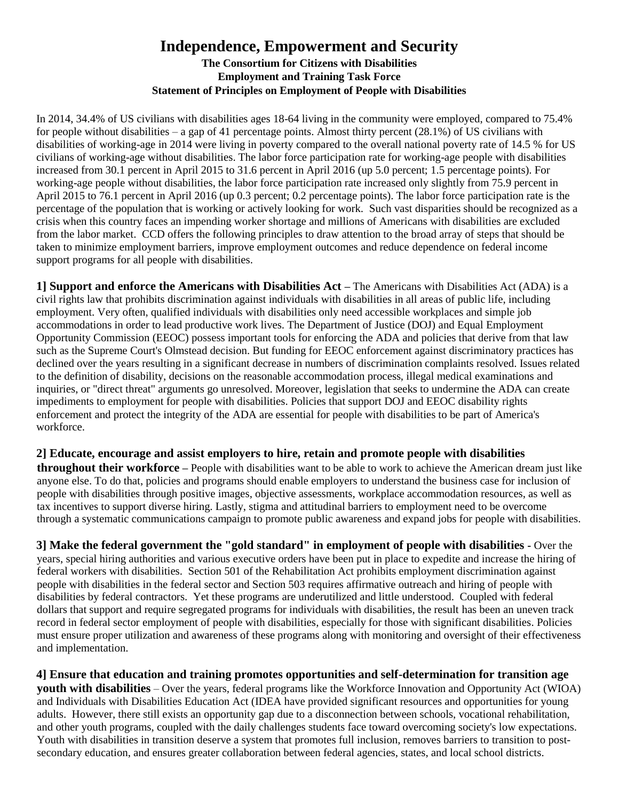# **Independence, Empowerment and Security The Consortium for Citizens with Disabilities Employment and Training Task Force Statement of Principles on Employment of People with Disabilities**

In 2014, 34.4% of US civilians with disabilities ages 18-64 living in the community were employed, compared to 75.4% for people without disabilities – a gap of 41 percentage points. Almost thirty percent  $(28.1\%)$  of US civilians with disabilities of working-age in 2014 were living in poverty compared to the overall national poverty rate of 14.5 % for US civilians of working-age without disabilities. The labor force participation rate for working-age people with disabilities increased from 30.1 percent in April 2015 to 31.6 percent in April 2016 (up 5.0 percent; 1.5 percentage points). For working-age people without disabilities, the labor force participation rate increased only slightly from 75.9 percent in April 2015 to 76.1 percent in April 2016 (up 0.3 percent; 0.2 percentage points). The labor force participation rate is the percentage of the population that is working or actively looking for work. Such vast disparities should be recognized as a crisis when this country faces an impending worker shortage and millions of Americans with disabilities are excluded from the labor market. CCD offers the following principles to draw attention to the broad array of steps that should be taken to minimize employment barriers, improve employment outcomes and reduce dependence on federal income support programs for all people with disabilities.

**1] Support and enforce the Americans with Disabilities Act –** The Americans with Disabilities Act (ADA) is a civil rights law that prohibits discrimination against individuals with disabilities in all areas of public life, including employment. Very often, qualified individuals with disabilities only need accessible workplaces and simple job accommodations in order to lead productive work lives. The Department of Justice (DOJ) and Equal Employment Opportunity Commission (EEOC) possess important tools for enforcing the ADA and policies that derive from that law such as the Supreme Court's Olmstead decision. But funding for EEOC enforcement against discriminatory practices has declined over the years resulting in a significant decrease in numbers of discrimination complaints resolved. Issues related to the definition of disability, decisions on the reasonable accommodation process, illegal medical examinations and inquiries, or "direct threat" arguments go unresolved. Moreover, legislation that seeks to undermine the ADA can create impediments to employment for people with disabilities. Policies that support DOJ and EEOC disability rights enforcement and protect the integrity of the ADA are essential for people with disabilities to be part of America's workforce.

### **2] Educate, encourage and assist employers to hire, retain and promote people with disabilities**

**throughout their workforce –** People with disabilities want to be able to work to achieve the American dream just like anyone else. To do that, policies and programs should enable employers to understand the business case for inclusion of people with disabilities through positive images, objective assessments, workplace accommodation resources, as well as tax incentives to support diverse hiring. Lastly, stigma and attitudinal barriers to employment need to be overcome through a systematic communications campaign to promote public awareness and expand jobs for people with disabilities.

**3] Make the federal government the "gold standard" in employment of people with disabilities -** Over the years, special hiring authorities and various executive orders have been put in place to expedite and increase the hiring of federal workers with disabilities. Section 501 of the Rehabilitation Act prohibits employment discrimination against people with disabilities in the federal sector and Section 503 requires affirmative outreach and hiring of people with disabilities by federal contractors. Yet these programs are underutilized and little understood. Coupled with federal dollars that support and require segregated programs for individuals with disabilities, the result has been an uneven track record in federal sector employment of people with disabilities, especially for those with significant disabilities. Policies must ensure proper utilization and awareness of these programs along with monitoring and oversight of their effectiveness and implementation.

**4] Ensure that education and training promotes opportunities and self-determination for transition age youth with disabilities** – Over the years, federal programs like the Workforce Innovation and Opportunity Act (WIOA) and Individuals with Disabilities Education Act (IDEA have provided significant resources and opportunities for young adults. However, there still exists an opportunity gap due to a disconnection between schools, vocational rehabilitation, and other youth programs, coupled with the daily challenges students face toward overcoming society's low expectations. Youth with disabilities in transition deserve a system that promotes full inclusion, removes barriers to transition to postsecondary education, and ensures greater collaboration between federal agencies, states, and local school districts.